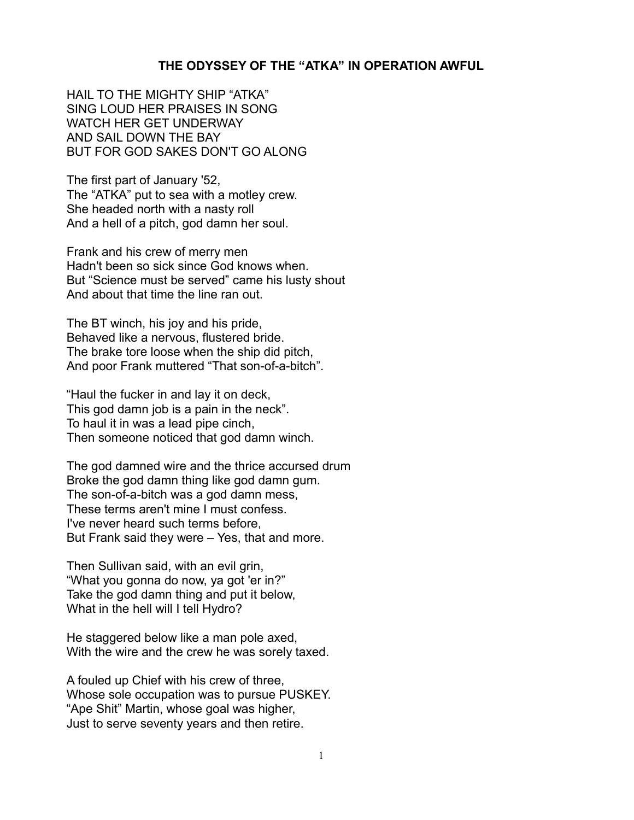## **THE ODYSSEY OF THE "ATKA" IN OPERATION AWFUL**

HAIL TO THE MIGHTY SHIP "ATKA" SING LOUD HER PRAISES IN SONG WATCH HER GET UNDERWAY AND SAIL DOWN THE BAY BUT FOR GOD SAKES DON'T GO ALONG

The first part of January '52, The "ATKA" put to sea with a motley crew. She headed north with a nasty roll And a hell of a pitch, god damn her soul.

Frank and his crew of merry men Hadn't been so sick since God knows when. But "Science must be served" came his lusty shout And about that time the line ran out.

The BT winch, his joy and his pride, Behaved like a nervous, flustered bride. The brake tore loose when the ship did pitch, And poor Frank muttered "That son-of-a-bitch".

"Haul the fucker in and lay it on deck, This god damn job is a pain in the neck". To haul it in was a lead pipe cinch, Then someone noticed that god damn winch.

The god damned wire and the thrice accursed drum Broke the god damn thing like god damn gum. The son-of-a-bitch was a god damn mess, These terms aren't mine I must confess. I've never heard such terms before, But Frank said they were – Yes, that and more.

Then Sullivan said, with an evil grin, "What you gonna do now, ya got 'er in?" Take the god damn thing and put it below, What in the hell will I tell Hydro?

He staggered below like a man pole axed, With the wire and the crew he was sorely taxed.

A fouled up Chief with his crew of three, Whose sole occupation was to pursue PUSKEY. "Ape Shit" Martin, whose goal was higher, Just to serve seventy years and then retire.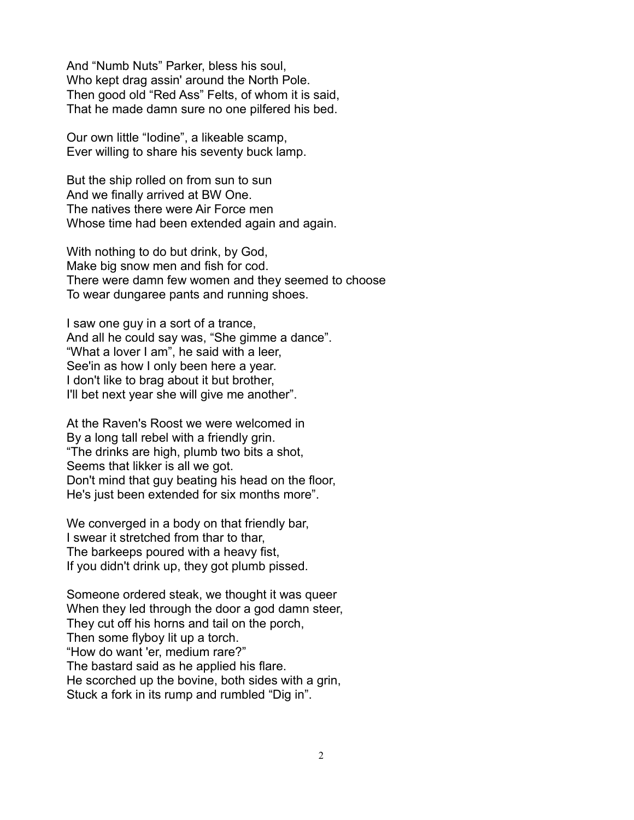And "Numb Nuts" Parker, bless his soul, Who kept drag assin' around the North Pole. Then good old "Red Ass" Felts, of whom it is said, That he made damn sure no one pilfered his bed.

Our own little "Iodine", a likeable scamp, Ever willing to share his seventy buck lamp.

But the ship rolled on from sun to sun And we finally arrived at BW One. The natives there were Air Force men Whose time had been extended again and again.

With nothing to do but drink, by God, Make big snow men and fish for cod. There were damn few women and they seemed to choose To wear dungaree pants and running shoes.

I saw one guy in a sort of a trance, And all he could say was, "She gimme a dance". "What a lover I am", he said with a leer, See'in as how I only been here a year. I don't like to brag about it but brother, I'll bet next year she will give me another".

At the Raven's Roost we were welcomed in By a long tall rebel with a friendly grin. "The drinks are high, plumb two bits a shot, Seems that likker is all we got. Don't mind that guy beating his head on the floor, He's just been extended for six months more".

We converged in a body on that friendly bar, I swear it stretched from thar to thar, The barkeeps poured with a heavy fist, If you didn't drink up, they got plumb pissed.

Someone ordered steak, we thought it was queer When they led through the door a god damn steer, They cut off his horns and tail on the porch, Then some flyboy lit up a torch. "How do want 'er, medium rare?" The bastard said as he applied his flare. He scorched up the bovine, both sides with a grin, Stuck a fork in its rump and rumbled "Dig in".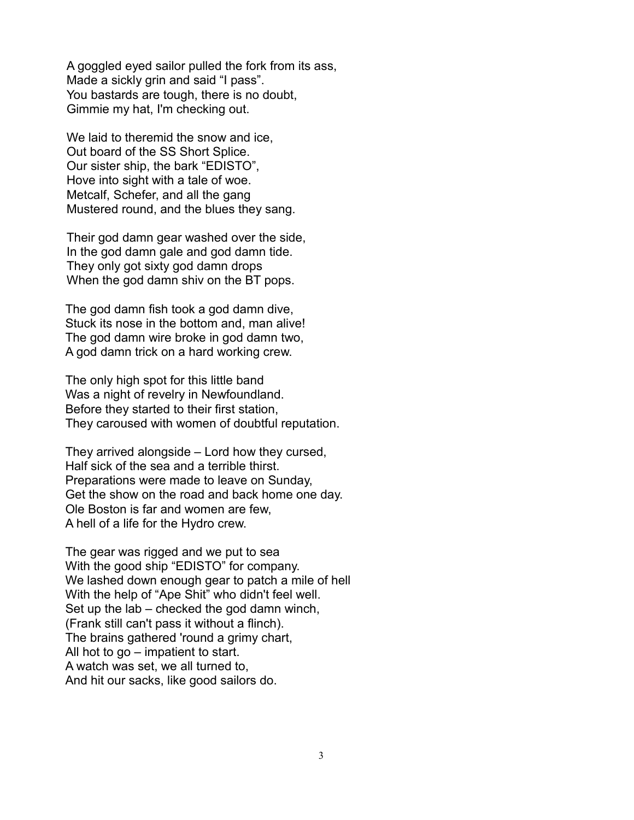A goggled eyed sailor pulled the fork from its ass, Made a sickly grin and said "I pass". You bastards are tough, there is no doubt, Gimmie my hat, I'm checking out.

We laid to theremid the snow and ice, Out board of the SS Short Splice. Our sister ship, the bark "EDISTO", Hove into sight with a tale of woe. Metcalf, Schefer, and all the gang Mustered round, and the blues they sang.

Their god damn gear washed over the side, In the god damn gale and god damn tide. They only got sixty god damn drops When the god damn shiv on the BT pops.

The god damn fish took a god damn dive, Stuck its nose in the bottom and, man alive! The god damn wire broke in god damn two, A god damn trick on a hard working crew.

The only high spot for this little band Was a night of revelry in Newfoundland. Before they started to their first station, They caroused with women of doubtful reputation.

They arrived alongside – Lord how they cursed, Half sick of the sea and a terrible thirst. Preparations were made to leave on Sunday, Get the show on the road and back home one day. Ole Boston is far and women are few, A hell of a life for the Hydro crew.

The gear was rigged and we put to sea With the good ship "EDISTO" for company. We lashed down enough gear to patch a mile of hell With the help of "Ape Shit" who didn't feel well. Set up the lab – checked the god damn winch, (Frank still can't pass it without a flinch). The brains gathered 'round a grimy chart, All hot to go – impatient to start. A watch was set, we all turned to, And hit our sacks, like good sailors do.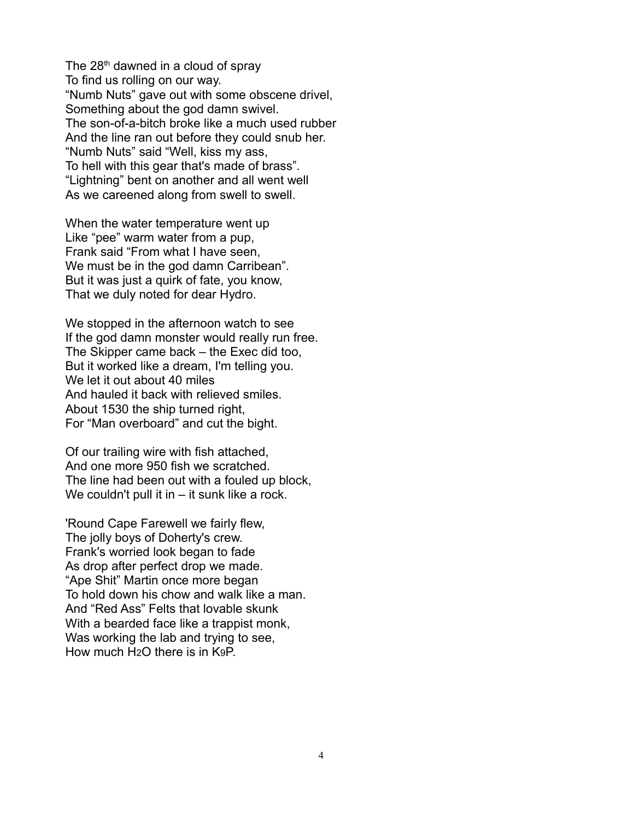The  $28<sup>th</sup>$  dawned in a cloud of spray To find us rolling on our way. "Numb Nuts" gave out with some obscene drivel, Something about the god damn swivel. The son-of-a-bitch broke like a much used rubber And the line ran out before they could snub her. "Numb Nuts" said "Well, kiss my ass, To hell with this gear that's made of brass". "Lightning" bent on another and all went well As we careened along from swell to swell.

When the water temperature went up Like "pee" warm water from a pup, Frank said "From what I have seen, We must be in the god damn Carribean". But it was just a quirk of fate, you know, That we duly noted for dear Hydro.

We stopped in the afternoon watch to see If the god damn monster would really run free. The Skipper came back – the Exec did too, But it worked like a dream, I'm telling you. We let it out about 40 miles And hauled it back with relieved smiles. About 1530 the ship turned right, For "Man overboard" and cut the bight.

Of our trailing wire with fish attached, And one more 950 fish we scratched. The line had been out with a fouled up block, We couldn't pull it in – it sunk like a rock.

'Round Cape Farewell we fairly flew, The jolly boys of Doherty's crew. Frank's worried look began to fade As drop after perfect drop we made. "Ape Shit" Martin once more began To hold down his chow and walk like a man. And "Red Ass" Felts that lovable skunk With a bearded face like a trappist monk, Was working the lab and trying to see, How much H2O there is in K9P.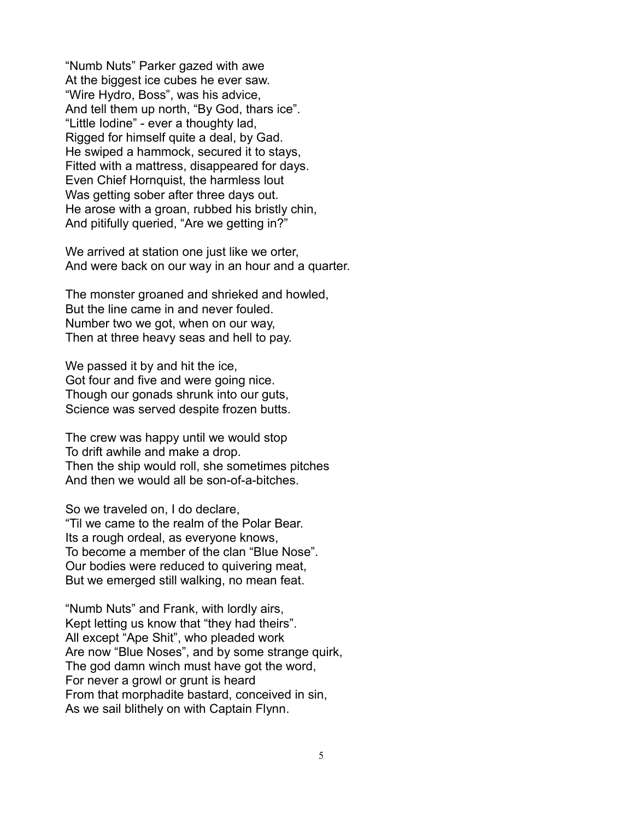"Numb Nuts" Parker gazed with awe At the biggest ice cubes he ever saw. "Wire Hydro, Boss", was his advice, And tell them up north, "By God, thars ice". "Little Iodine" - ever a thoughty lad, Rigged for himself quite a deal, by Gad. He swiped a hammock, secured it to stays, Fitted with a mattress, disappeared for days. Even Chief Hornquist, the harmless lout Was getting sober after three days out. He arose with a groan, rubbed his bristly chin, And pitifully queried, "Are we getting in?"

We arrived at station one just like we orter, And were back on our way in an hour and a quarter.

The monster groaned and shrieked and howled, But the line came in and never fouled. Number two we got, when on our way, Then at three heavy seas and hell to pay.

We passed it by and hit the ice, Got four and five and were going nice. Though our gonads shrunk into our guts, Science was served despite frozen butts.

The crew was happy until we would stop To drift awhile and make a drop. Then the ship would roll, she sometimes pitches And then we would all be son-of-a-bitches.

So we traveled on, I do declare, "Til we came to the realm of the Polar Bear. Its a rough ordeal, as everyone knows, To become a member of the clan "Blue Nose". Our bodies were reduced to quivering meat, But we emerged still walking, no mean feat.

"Numb Nuts" and Frank, with lordly airs, Kept letting us know that "they had theirs". All except "Ape Shit", who pleaded work Are now "Blue Noses", and by some strange quirk, The god damn winch must have got the word, For never a growl or grunt is heard From that morphadite bastard, conceived in sin, As we sail blithely on with Captain Flynn.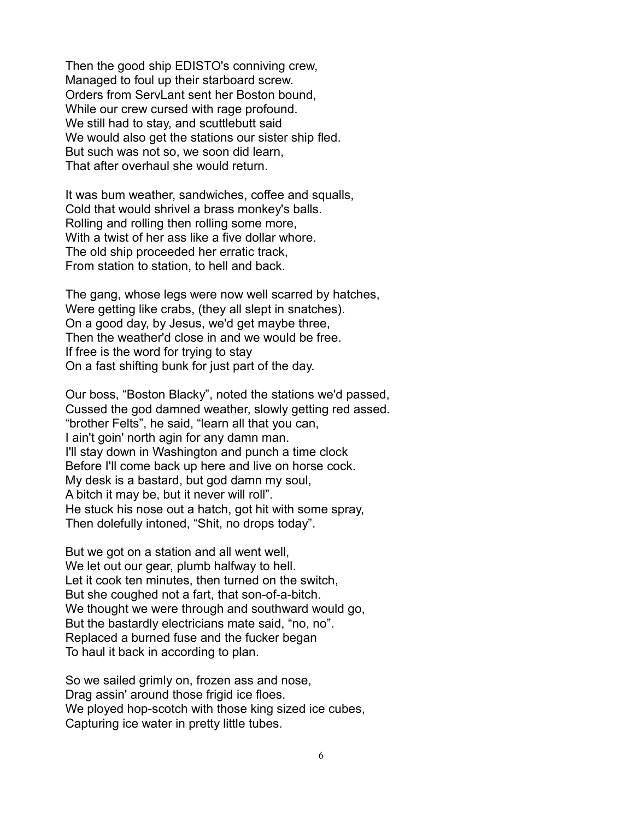Then the good ship EDISTO's conniving crew, Managed to foul up their starboard screw. Orders from ServLant sent her Boston bound, While our crew cursed with rage profound. We still had to stay, and scuttlebutt said We would also get the stations our sister ship fled. But such was not so, we soon did learn, That after overhaul she would return.

It was bum weather, sandwiches, coffee and squalls, Cold that would shrivel a brass monkey's balls. Rolling and rolling then rolling some more, With a twist of her ass like a five dollar whore. The old ship proceeded her erratic track, From station to station, to hell and back.

The gang, whose legs were now well scarred by hatches, Were getting like crabs, (they all slept in snatches). On a good day, by Jesus, we'd get maybe three, Then the weather'd close in and we would be free. If free is the word for trying to stay On a fast shifting bunk for just part of the day.

Our boss, "Boston Blacky", noted the stations we'd passed, Cussed the god damned weather, slowly getting red assed. "brother Felts", he said, "learn all that you can, I ain't goin' north agin for any damn man. I'll stay down in Washington and punch a time clock Before I'll come back up here and live on horse cock. My desk is a bastard, but god damn my soul, A bitch it may be, but it never will roll". He stuck his nose out a hatch, got hit with some spray, Then dolefully intoned, "Shit, no drops today".

But we got on a station and all went well, We let out our gear, plumb halfway to hell. Let it cook ten minutes, then turned on the switch, But she coughed not a fart, that son-of-a-bitch. We thought we were through and southward would go, But the bastardly electricians mate said, "no, no". Replaced a burned fuse and the fucker began To haul it back in according to plan.

So we sailed grimly on, frozen ass and nose, Drag assin' around those frigid ice floes. We ployed hop-scotch with those king sized ice cubes, Capturing ice water in pretty little tubes.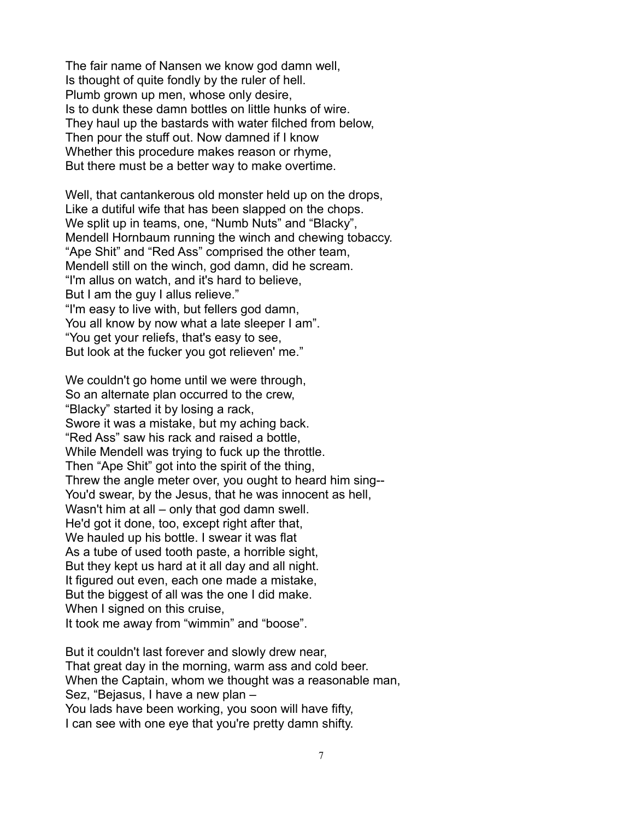The fair name of Nansen we know god damn well, Is thought of quite fondly by the ruler of hell. Plumb grown up men, whose only desire, Is to dunk these damn bottles on little hunks of wire. They haul up the bastards with water filched from below, Then pour the stuff out. Now damned if I know Whether this procedure makes reason or rhyme, But there must be a better way to make overtime.

Well, that cantankerous old monster held up on the drops, Like a dutiful wife that has been slapped on the chops. We split up in teams, one, "Numb Nuts" and "Blacky", Mendell Hornbaum running the winch and chewing tobaccy. "Ape Shit" and "Red Ass" comprised the other team, Mendell still on the winch, god damn, did he scream. "I'm allus on watch, and it's hard to believe, But I am the guy I allus relieve." "I'm easy to live with, but fellers god damn, You all know by now what a late sleeper I am". "You get your reliefs, that's easy to see, But look at the fucker you got relieven' me."

We couldn't go home until we were through, So an alternate plan occurred to the crew, "Blacky" started it by losing a rack, Swore it was a mistake, but my aching back. "Red Ass" saw his rack and raised a bottle, While Mendell was trying to fuck up the throttle. Then "Ape Shit" got into the spirit of the thing, Threw the angle meter over, you ought to heard him sing-- You'd swear, by the Jesus, that he was innocent as hell, Wasn't him at all – only that god damn swell. He'd got it done, too, except right after that, We hauled up his bottle. I swear it was flat As a tube of used tooth paste, a horrible sight, But they kept us hard at it all day and all night. It figured out even, each one made a mistake, But the biggest of all was the one I did make. When I signed on this cruise, It took me away from "wimmin" and "boose".

But it couldn't last forever and slowly drew near, That great day in the morning, warm ass and cold beer. When the Captain, whom we thought was a reasonable man, Sez, "Bejasus, I have a new plan – You lads have been working, you soon will have fifty, I can see with one eye that you're pretty damn shifty.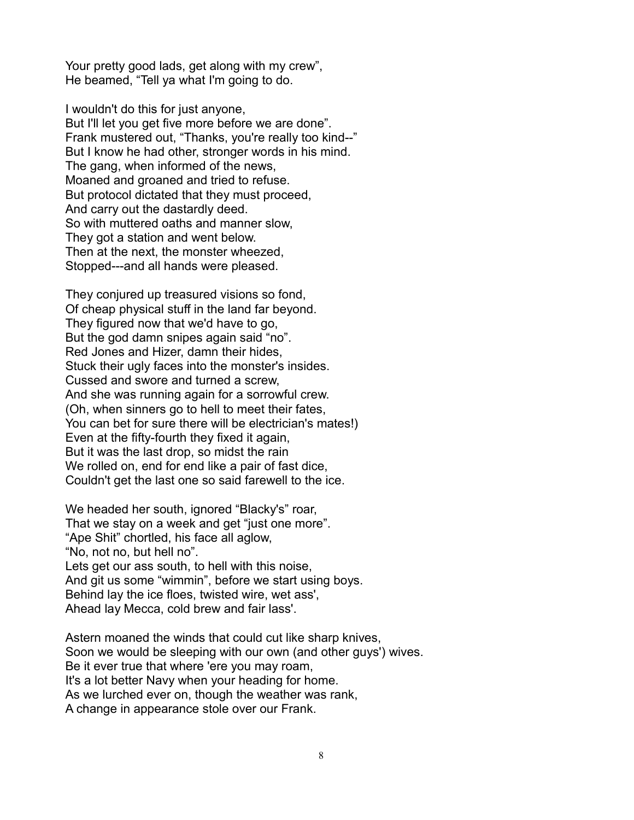Your pretty good lads, get along with my crew", He beamed, "Tell ya what I'm going to do.

I wouldn't do this for just anyone. But I'll let you get five more before we are done". Frank mustered out, "Thanks, you're really too kind--" But I know he had other, stronger words in his mind. The gang, when informed of the news, Moaned and groaned and tried to refuse. But protocol dictated that they must proceed, And carry out the dastardly deed. So with muttered oaths and manner slow, They got a station and went below. Then at the next, the monster wheezed, Stopped---and all hands were pleased.

They conjured up treasured visions so fond, Of cheap physical stuff in the land far beyond. They figured now that we'd have to go, But the god damn snipes again said "no". Red Jones and Hizer, damn their hides, Stuck their ugly faces into the monster's insides. Cussed and swore and turned a screw, And she was running again for a sorrowful crew. (Oh, when sinners go to hell to meet their fates, You can bet for sure there will be electrician's mates!) Even at the fifty-fourth they fixed it again, But it was the last drop, so midst the rain We rolled on, end for end like a pair of fast dice, Couldn't get the last one so said farewell to the ice.

We headed her south, ignored "Blacky's" roar, That we stay on a week and get "just one more". "Ape Shit" chortled, his face all aglow, "No, not no, but hell no". Lets get our ass south, to hell with this noise, And git us some "wimmin", before we start using boys. Behind lay the ice floes, twisted wire, wet ass', Ahead lay Mecca, cold brew and fair lass'.

Astern moaned the winds that could cut like sharp knives, Soon we would be sleeping with our own (and other guys') wives. Be it ever true that where 'ere you may roam, It's a lot better Navy when your heading for home. As we lurched ever on, though the weather was rank, A change in appearance stole over our Frank.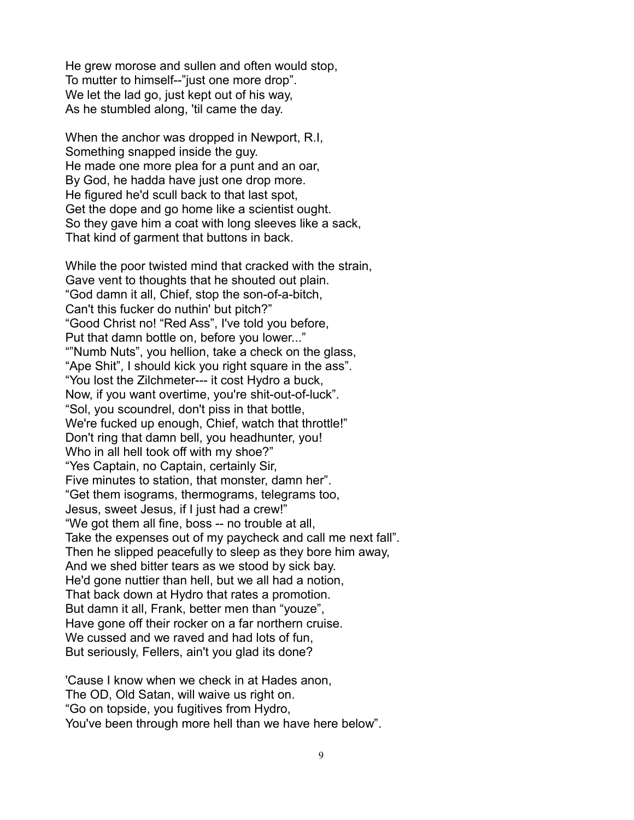He grew morose and sullen and often would stop, To mutter to himself--"just one more drop". We let the lad go, just kept out of his way, As he stumbled along, 'til came the day.

When the anchor was dropped in Newport, R.I, Something snapped inside the guy. He made one more plea for a punt and an oar, By God, he hadda have just one drop more. He figured he'd scull back to that last spot, Get the dope and go home like a scientist ought. So they gave him a coat with long sleeves like a sack, That kind of garment that buttons in back.

While the poor twisted mind that cracked with the strain, Gave vent to thoughts that he shouted out plain. "God damn it all, Chief, stop the son-of-a-bitch, Can't this fucker do nuthin' but pitch?" "Good Christ no! "Red Ass", I've told you before, Put that damn bottle on, before you lower..." ""Numb Nuts", you hellion, take a check on the glass, "Ape Shit", I should kick you right square in the ass". "You lost the Zilchmeter--- it cost Hydro a buck, Now, if you want overtime, you're shit-out-of-luck". "Sol, you scoundrel, don't piss in that bottle, We're fucked up enough, Chief, watch that throttle!" Don't ring that damn bell, you headhunter, you! Who in all hell took off with my shoe?" "Yes Captain, no Captain, certainly Sir, Five minutes to station, that monster, damn her". "Get them isograms, thermograms, telegrams too, Jesus, sweet Jesus, if I just had a crew!" "We got them all fine, boss -- no trouble at all, Take the expenses out of my paycheck and call me next fall". Then he slipped peacefully to sleep as they bore him away, And we shed bitter tears as we stood by sick bay. He'd gone nuttier than hell, but we all had a notion, That back down at Hydro that rates a promotion. But damn it all, Frank, better men than "youze", Have gone off their rocker on a far northern cruise. We cussed and we raved and had lots of fun, But seriously, Fellers, ain't you glad its done?

'Cause I know when we check in at Hades anon, The OD, Old Satan, will waive us right on. "Go on topside, you fugitives from Hydro, You've been through more hell than we have here below".